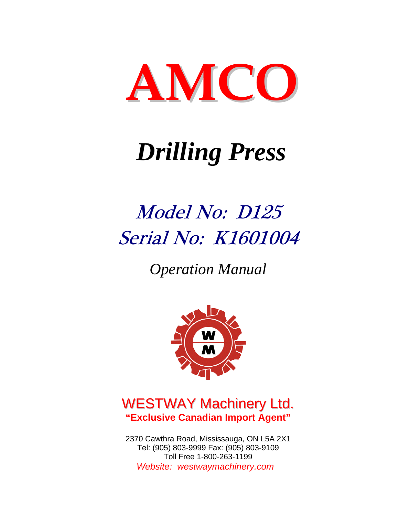

# *Drilling Press*

# Model No: D125 Serial No: K1601004

*Operation Manual* 



## WESTWAY Machinery Ltd. **"Exclusive Canadian Import Agent"**

2370 Cawthra Road, Mississauga, ON L5A 2X1 Tel: (905) 803-9999 Fax: (905) 803-9109 Toll Free 1-800-263-1199  *Website: westwaymachinery.com*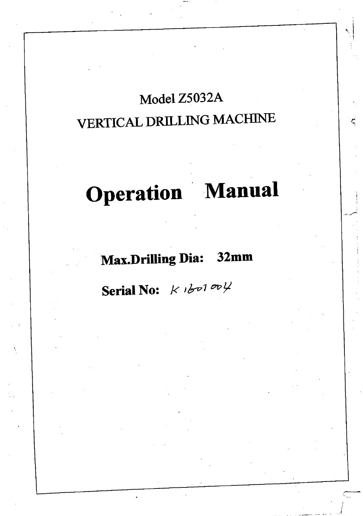# Model Z5032A VERTICAL DRILLING MACHINE

# Operation Manual

# Max.Drilling Dia: 32mm

Serial No:  $K$   $b$ <sup>001 00</sup><sup>1</sup>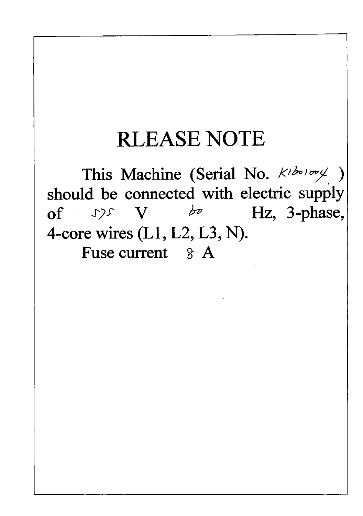# RLEASE NOTE

This Machine (Serial No.  $k^{\frac{1}{200000}}$ ) should be connected with electric supply of  $\mathcal{Y}$   $\mathcal{Y}$   $\phi$   $\mathcal{Y}$   $\mathcal{Y}$   $\mathcal{Y}$   $\mathcal{Y}$   $\mathcal{Y}$   $\mathcal{Y}$   $\mathcal{Y}$   $\mathcal{Y}$   $\mathcal{Y}$   $\mathcal{Y}$   $\mathcal{Y}$   $\mathcal{Y}$   $\mathcal{Y}$   $\mathcal{Y}$   $\mathcal{Y}$   $\mathcal{Y}$   $\mathcal{Y}$   $\mathcal{Y}$   $\mathcal{Y}$   $\mathcal{Y}$   $\mathcal{Y}$   $\mathcal{Y$ 4-core wires (LI, L2, L3, N). Fuse current  $8 \text{ A}$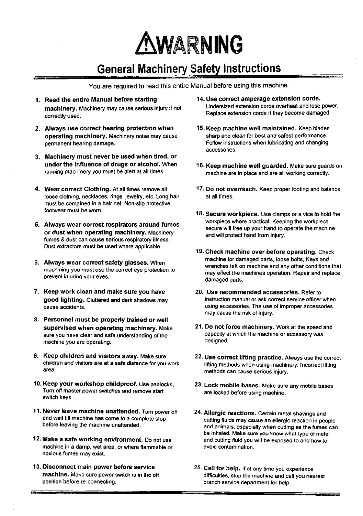

## General Machinery Safety Instructions

You are required to read this entire Manual before using this machine.

- 1. Read the entire Manual before starting machinery. Machinery may cause serious injury if not correctly used.
- 2. Always use correct hearing protection when operating machinery. Machinery noise may cause permanent hearing damage.
- 3. Machinery must never be used when tired, or under the influence of drugs or alcohol. When running machinery you must be alert at all times.
- 4. Wear correct Clothing. At all times remove all loose clothing, necklaces, rings, jewelry, etc. Long hair must be contained in a hair net. Non-slip protective footwear must be worn.
- 5. Always wear correct respirators around fumes or dust when operating machinery. Machinery fumes & dust can cause serious respiratory illness. Dust extractors must be used where applicable.
- 6. Always wear correct safety glasses. When machining you must use the correct eye protection to prevent injuring your eyes.
- 7. Keep work clean and make sure you have good lighting. Cluttered and dark shadows may cause accidents.
- 8. Personnel must be properly trained or well supervised when operating machinery. Make sure you have clear and safe understanding of the machine you are operating.
- 9. Keep children and visitors away. Make sure children and visitors are at a safe distance for you work area.
- 10. Keep your workshop childproof. Use padlocks. Turn off master power switches and remove start switch keys.
- 11. Never leave machine unattended. Turn power off and wait till machine has come to a complete stop before leaving the machine unattended.
- 12. Make a safe working environment. Do not use machine in a damp, wet area, or where flammable or noxious fumes may exist.
- 13. Disconnect main power before service machine. Make sure power switch is in the off position before re-connecting.
- 14. Use correct amperage extension cords. Undersized extension cords overheat and lose power. Replace extension cords if they become damaged.
- 15. Keep machine well maintained. Keep blades sharp and clean for best and safest performance. Follow instructions when lubricating and changing accessories.
- 16. Keep machine well guarded. Make sure guards on machine are in place and are all working correctly.
- 17. Do not overreach. Keep proper footing and balance at all times.
- 18. Secure workpiece. Use clamps or a vice to hold the workpiece where practical. Keeping the workpiece secure will free up your hand to operate the machine and will protect hand from injury.
- 19. Check machine over before operating. Check machine for damaged parts, loose bolts, Keys and wrenches left on machine and any other conditions that may effect the machines operation. Repair and replace damaged parts.
- 20. Use recommended accessories. Refer to instruction manual or ask correct service officer when using accessories. The use of improper accessories may cause the risk of injury.
- 21. Do not force machinery. Work at the speed and capacity at which the machine or accessory was designed.
- 22. Use correct lifting practice. Always use the correct lifting methods when using machinery. Incorrect lifting methods can cause serious injury.
- 23. Lock mobile bases. Make sure any mobile bases are locked before using machine.
- 24. Allergic reactions. Certain metal shavings and cutting fluids may cause an ellergic reaction in people and animals, especially when cutting as the fumes can be inhaled. Make sure you know what type of metal and cutting fluid you will be exposed to and how to avoid contamination.
- 25. Call for help. If at any time you experience difficulties, stop the machine and call you nearest branch service department for help.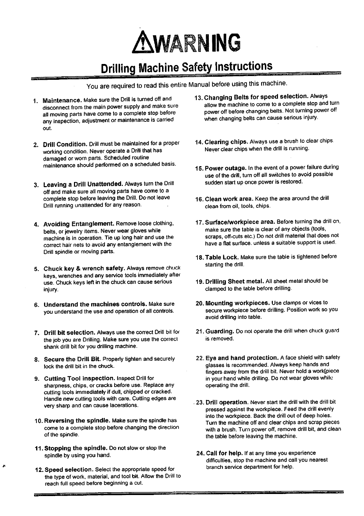

## Drilling Machine Safety Instructions

You are required to read this entire Manual before using this machine.

- 1. Maintenance. Make sure the Drill is turned off and disconnect from the main power supply and make sure all moving parts have come to a complete stop before any inspection, adjustment or maintenance is carried out.
- 2. Drill Condition. Drill must be maintained for a proper working condition. Never operate a Drill that has damaged or worn parts. Scheduled routine maintenance should performed on a scheduled basis.
- 3. Leaving a Drill Unattended. Always turn the Drill off and make sure all moving parts have come to a complete stop before leaving the Drill. Do not leave Drill running unattended for any reason.
- 4. Avoiding Entanglement. Remove loose clothing, belts, or jewelry items. Never wear gloves while machine is in operation. Tie up long hair and use the correct hair nets to avoid any entanglement with the Drill spindle or moving parts.
- 5. Chuck key & wrench safety. Always remove chuck keys, wrenches and any service tools immediately after use. Chuck keys left in the chuck can cause serious injury.
- 6. Understand the machines controls. Make sure you understand the use and operation of all controls.
- 7. Drill bit selection. Always use the correct Drill bit for the job you are Drilling. Make sure you use the correct shank drill bit for you drilling machine.
- 8. Secure the Drill Bit. Properly tighten and securely lock the drill bit in the chuck.
- 9. Cutting Tool inspection. Inspect Drill for sharpness, chips, or cracks before use. Replace any cutting tools immediately if dull, chipped or cracked. Handle new cutting tools with care. Cutting edges are very sharp and can cause lacerations.
- 10. Reversing the spindle. Make sure the spindle has come to a complete stop before changing the direction of the spindle.
- 11. Stopping the spindle. Do not slow or stop the spindle by using you hand.

×

12. Speed selection. Select the appropriate speed for the type of work, material, and tool bit. Allow the Drill to reach full speed before beginning a cut.

- 13. Changing Belts for speed selection. Always allow the machine to come to a complete stop and turn power off before changing belts. Not turning power off when changing belts can cause serious injury.
- 14. Clearing chips. Always use a brush to clear chips. Never clear chips when the drill is running.
- 15. Power outage. In the event of a power failure during use of the drill, turn off all switches to avoid possible sudden start up once power is restored.
- 16. Clean work area. Keep the area around the drill clean from oil, tools, chips.
- 17. Surface/workpiece area. Before turning the drill on, make sure the table is clear of any objects (tools, scraps, off-cuts etc.) Do not drill material that does not have a flat surface, unless a suitable support is used.
- 18. Table Lock. Make sure the table is tightened before starting the drill.
- 19. Drilling Sheet metal. All sheet metal should be clamped to the table before drilling.
- 20. Mounting workpieces. Use clamps or vices to secure workpiece before drilling. Position work so you avoid drilling into table.
- 21. Guarding. Do not operate the drill when chuck guard is removed.
- 22. Eye and hand protection. A face shield with safety glasses is recommended. Always keep hands and fingers away from the drill bit. Never hold a work[piece in your hand while drilling. Do not wear gloves while operating the drill.
- 23. Drill operation. Never start the drill with the drill bit pressed against the workpiece. Feed the drill evenly into the workpiece. Back the drill out of deep holes. Turn the machine off and clear chips and scrap pieces with a brush. Turn power off, remove drill bit, and clean the table before leaving the machine.
- 24. Call for help. If at any time you experience difficulties, stop the machine and call you nearest branch service department for help.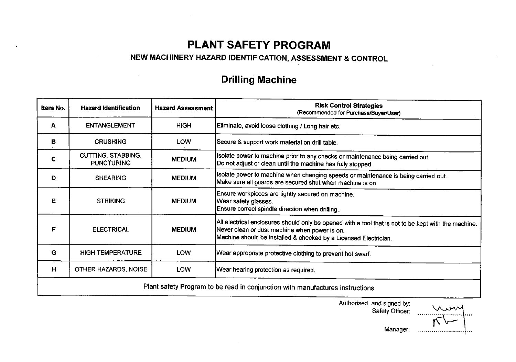## PLANT SAFETY PROGRAM

## NEW MACHINERY HAZARD IDENTIFICATION, ASSESSMENT & CONTROL

## Drilling Machine

| Item No. | <b>Hazard Identification</b>                   | <b>Hazard Assessment</b> | <b>Risk Control Strategies</b><br>(Recommended for Purchase/Buyer/User)                                                                                                                                                         |
|----------|------------------------------------------------|--------------------------|---------------------------------------------------------------------------------------------------------------------------------------------------------------------------------------------------------------------------------|
| A        | <b>ENTANGLEMENT</b>                            | <b>HIGH</b>              | Eliminate, avoid loose clothing / Long hair etc.                                                                                                                                                                                |
| в        | <b>CRUSHING</b>                                | LOW                      | Secure & support work material on drill table.                                                                                                                                                                                  |
| C        | <b>CUTTING, STABBING,</b><br><b>PUNCTURING</b> | <b>MEDIUM</b>            | Isolate power to machine prior to any checks or maintenance being carried out.<br>Do not adjust or clean until the machine has fully stopped.                                                                                   |
| D        | <b>SHEARING</b>                                | <b>MEDIUM</b>            | Isolate power to machine when changing speeds or maintenance is being carried out.<br>Make sure all guards are secured shut when machine is on.                                                                                 |
| Е        | <b>STRIKING</b>                                | <b>MEDIUM</b>            | Ensure workpieces are tightly secured on machine.<br>Wear safety glasses.<br>Ensure correct spindle direction when drilling                                                                                                     |
| F        | <b>ELECTRICAL</b>                              | <b>MEDIUM</b>            | $ \!$ All electrical enclosures should only be opened with a tool that is not to be kept with the machine.<br>Never clean or dust machine when power is on.<br>Machine should be installed & checked by a Licensed Electrician. |
| G        | <b>HIGH TEMPERATURE</b>                        | LOW                      | Wear appropriate protective clothing to prevent hot swarf.                                                                                                                                                                      |
| H        | OTHER HAZARDS, NOISE                           | <b>LOW</b>               | Wear hearing protection as required.                                                                                                                                                                                            |
|          |                                                |                          | Plant safety Program to be read in conjunction with manufactures instructions                                                                                                                                                   |

Authorised and signed by: Safety Officer:

Manager:  $\sim$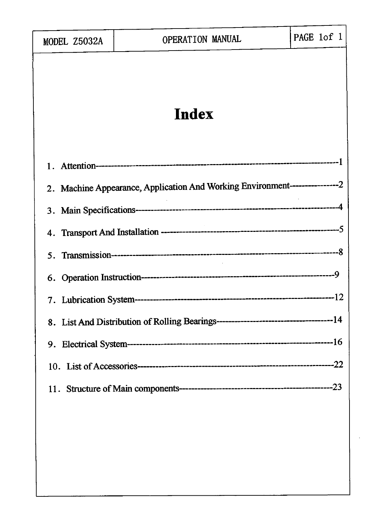| MODEL Z5032A | OPERATION MANUAL                                                               | PAGE 1of 1 |
|--------------|--------------------------------------------------------------------------------|------------|
|              | Index                                                                          |            |
|              |                                                                                |            |
|              |                                                                                |            |
|              | 2. Machine Appearance, Application And Working Environment-------------------2 |            |
|              |                                                                                |            |
| 4.           |                                                                                |            |
| $5_{-}$      |                                                                                |            |
|              |                                                                                |            |
|              |                                                                                |            |
|              |                                                                                |            |
|              |                                                                                |            |
|              |                                                                                |            |
|              |                                                                                |            |
|              |                                                                                |            |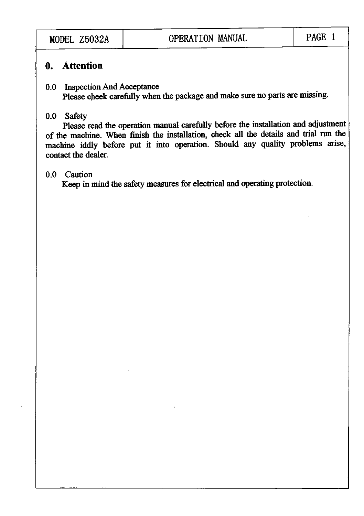## 0. Attention

## 0.0 Inspection And Acceptance Please cheek carefully when the package and make sure no parts are missing.

## 0.0 Safety

Please read the operation manual carefully before the installation and adjustment of the machine. When finish the installation, check all the details and trial run the machine iddly before put it into operation. Should any quality problems arise, contact the dealer.

## 0.0 Caution

Keep in mind the safety measures for electrical and operating protection.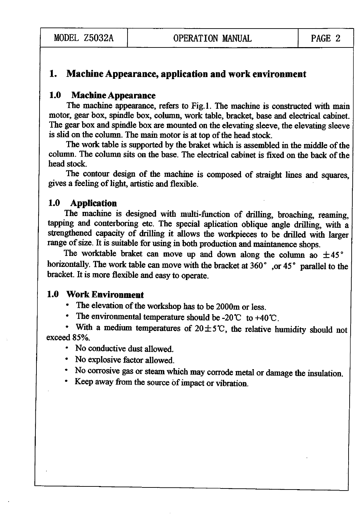## 1. Machine Appearance, application and work environment

## 1.0 Machine Appearance

The machine appearance, refers to Fig.l. The machine is constructed with main motor, gear box, spindle box, column, work table, bracket, base and electrical cabinet The gear box and spindle box are mounted on the elevating sleeve, the elevating sleeve is slid on the column. The main motor is at top of the head stock.

The work table is supported by the braket which is assembled in the middle of the column. The column sits on the base. The electrical cabinet is fixed on the back of the head stock.

The contour design of the machine is composed of straight lines and squares, gives a feeling of light, artistic and flexible.

## 1.0 Application

The machine is designed with multi-fimction of drilling, broaching, reaming, tapping and conterboring etc. The special aplication oblique angle drilling, with a strengthened capacity of drilling it allows the workpieces to be drilled with larger range of size. It is suitable for using in both production and maintanence shops.

The worktable braket can move up and down along the column ao  $\pm 45^{\circ}$ horizontally. The work table can move with the bracket at 360° , or 45° parallel to the bracket. It is more flexible and easy to operate.

## 1.0 Work Environment

- The elevation of the workshop has to be 2000m or less.
- The environmental temperature should be -20  $\degree$  to +40  $\degree$ C.

• With a medium temperatures of  $20 \pm 5^{\circ}$ C, the relative humidity should not exceed 85%.

- No conductive dust allowed.
- No explosive factor allowed.
- No corrosive gas or steam which may corrode metal or damage the insulation.
- Keep away from the source of impact or vibration.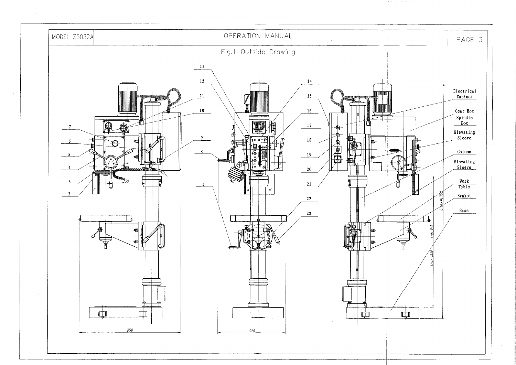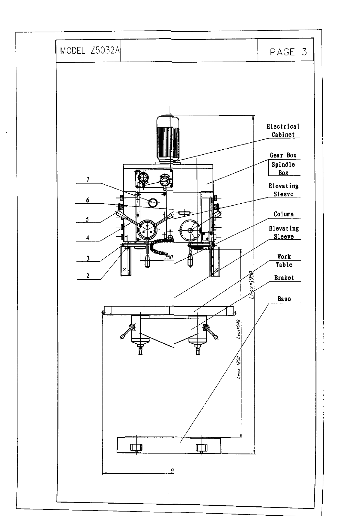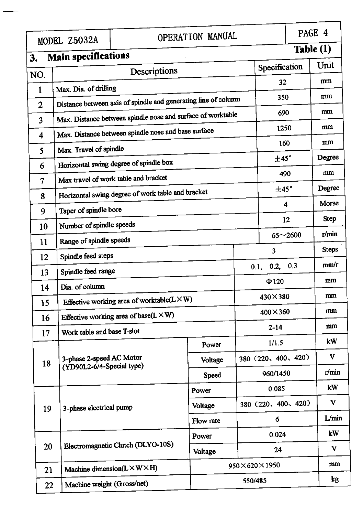|                | MODEL Z5032A                                      |                                                                | OPERATION MANUAL |         |                     |                         | PAGE 4       |
|----------------|---------------------------------------------------|----------------------------------------------------------------|------------------|---------|---------------------|-------------------------|--------------|
|                | <b>Main specifications</b>                        |                                                                |                  |         |                     | Table (1)               |              |
| 3.             |                                                   | Descriptions                                                   |                  |         | Specification       |                         | Unit         |
| NO.            |                                                   |                                                                |                  |         | 32                  |                         | mm           |
| 1              | Max. Dia. of drilling                             | Distance between axis of spindle and generating line of column |                  |         | 350                 |                         | mm           |
| $\overline{2}$ |                                                   | Max. Distance between spindle nose and surface of worktable    |                  |         | 690                 |                         | mm           |
| 3              |                                                   | Max. Distance between spindle nose and base surface            |                  |         | 1250                |                         | mm           |
| 4              |                                                   |                                                                |                  |         | 160                 |                         | mm           |
| 5              | Max. Travel of spindle                            | Horizontal swing degree of spindle box                         |                  |         | ±45°                |                         | Degree       |
| 6              |                                                   | Max travel of work table and bracket                           |                  |         | 490                 |                         | mm           |
| $\overline{7}$ |                                                   | Horizontal swing degree of work table and bracket              |                  |         | ±45°                |                         | Degree       |
| 8              |                                                   |                                                                |                  |         |                     | $\overline{\mathbf{4}}$ | Morse        |
| 9              | Taper of spindle bore<br>Number of spindle speeds |                                                                |                  |         |                     | 12                      | <b>Step</b>  |
| 10             |                                                   |                                                                |                  |         |                     | $65 - 2600$             | r/min        |
| 11             | Range of spindle speeds                           |                                                                |                  |         | 3                   |                         | <b>Steps</b> |
| 12             | Spindle feed steps                                |                                                                |                  |         | 0.2, 0.3<br>0.1,    |                         | mm/r         |
| 13             | Spindle feed range<br>Dia. of column              |                                                                |                  |         | $\Phi$ 120          |                         | mm           |
| 14             |                                                   | Effective working area of worktable( $L \times W$ )            |                  |         | 430×380             |                         | mm           |
| 15             |                                                   | Effective working area of base( $L \times W$ )                 |                  |         | $400\times360$      |                         | mm           |
| 16             | Work table and base T-slot                        |                                                                |                  |         | $2 - 14$            |                         | mm           |
| 17             |                                                   |                                                                | Power            |         | 1/1.5               |                         | kW           |
| 18             | 3-phase 2-speed AC Motor                          |                                                                | Voltage          |         | 380 (220, 400, 420) |                         | V            |
|                | (YD90L2-6/4-Special type)                         |                                                                | Speed            |         | 960/1450            |                         | r/min        |
|                |                                                   |                                                                | Power            |         | 0.085               |                         | kW           |
| 19             | 3-phase electrical pump                           |                                                                | Voltage          |         | 380 (220, 400, 420) |                         | V            |
|                |                                                   |                                                                | Flow rate        |         | 6                   |                         | L/min        |
|                |                                                   |                                                                | Power            |         | 0.024               |                         | kW           |
| 20             |                                                   | Electromagnetic Clutch (DLYO-10S)                              | Voltage          |         | 24                  |                         | V            |
|                | 21                                                | Machine dimension( $L \times W \times H$ )                     |                  |         | 950×620×1950        |                         | mm           |
|                | Machine weight (Gross/net)<br>22                  |                                                                |                  | 550/485 |                     |                         | kg           |
|                |                                                   |                                                                |                  |         |                     |                         |              |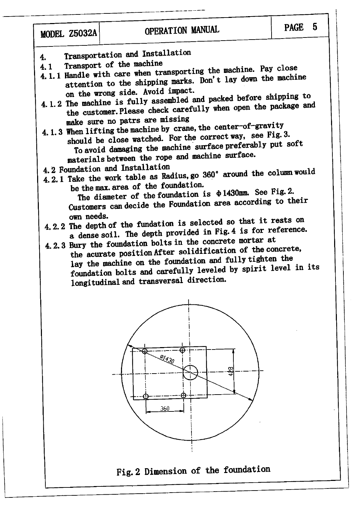- Transportation and Installation  $\mathbf{4}$
- Transport of the machine
- 4.1.1 Handle with care when transporting the machine. Pay close attention to the shipping marks. Don't lay down the machine on the wrong side. Avoid impact.
- 4.1.2 The machine is fully assembled and packed before shipping to the customer. Please check carefully when open the package and make sure no patrs are missing
- 4.1.3 When lifting the machine by crane, the center-of-gravity should be close watched. For the correct way, see Fig. 3. To avoid damaging the machine surface preferably put soft materials between the rope and machine surface.
- 4.2 Foundation and Installation
- 4.2.1 Take the work table as Radius, go 360° around the column would
	- be the max. area of the foundation. The diameter of the foundation is  $\Phi$ 1430mm. See Fig. 2. Customers can decide the Foundation area according to their own needs.
- 4.2.2 The depth of the fundation is selected so that it rests on a dense soil. The depth provided in Fig. 4 is for reference.
- 4.2.3 Bury the foundation bolts in the concrete mortar at the acurate position After solidification of the concrete, lay the machine on the foundation and fully tighten the foundation bolts and carefully leveled by spirit level in its longitudinal and transversal direction.

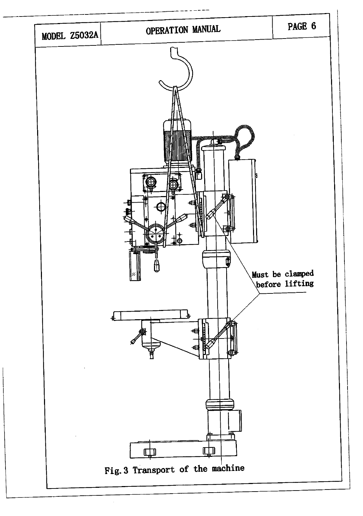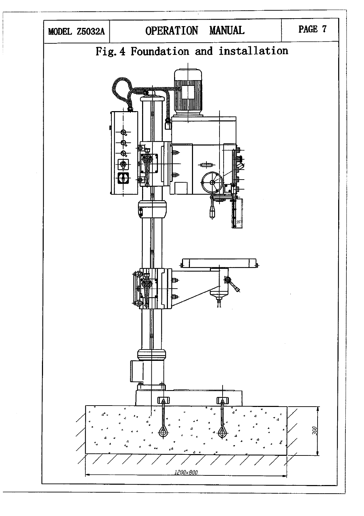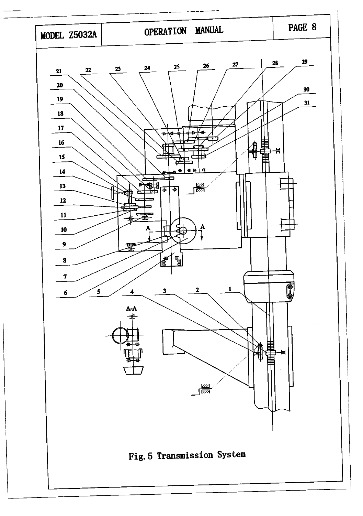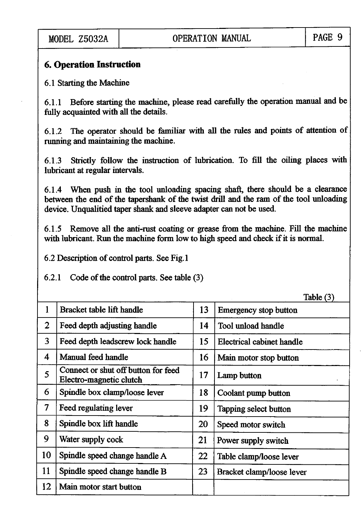## 6. Operation Instruction

6.1 Starting the Machine

6.1.1 Before starting the machine, please read carefully the operation manual and be fully acquainted with all the details.

6.1.2 The operator should be familiar with all the rules and points of attention of running and maintaining the machine.

6.1.3 Strictly follow the instruction of lubrication. To fill the oiling places with lubricant at regular intervals.

6.1.4 When push in the tool unloading spacing shaft, there should be a clearance between the end of the tapershank of the twist drill and the ram of the tool unloading device. Unqualitied taper shank and sleeve adapter can not be used.

6.1.5 Remove all the anti-rust coating or grease from the machine. Fill the machine with lubricant. Run the machine form low to high speed and check if it is normal.

6.2 Description of control parts. See Fig.l

6.2.1 Code of the control parts. See table (3)

 $Table (2)$ 

|                          |                                                                |    | ر د <sub>)</sub> Javic       |
|--------------------------|----------------------------------------------------------------|----|------------------------------|
| $\mathbf{1}$             | Bracket table lift handle                                      | 13 | <b>Emergency stop button</b> |
| $\overline{2}$           | Feed depth adjusting handle                                    | 14 | Tool unload handle           |
| $\overline{3}$           | Feed depth leadscrew lock handle                               | 15 | Electrical cabinet handle    |
| $\overline{\mathcal{A}}$ | Manual feed handle                                             | 16 | Main motor stop button       |
| 5 <sup>1</sup>           | Connect or shut off button for feed<br>Electro-magnetic clutch | 17 | Lamp button                  |
| 6                        | Spindle box clamp/loose lever                                  | 18 | Coolant pump button          |
| $\overline{\mathcal{I}}$ | Feed regulating lever                                          | 19 | Tapping select button        |
| 8                        | Spindle box lift handle                                        | 20 | Speed motor switch           |
| 9                        | Water supply cock                                              | 21 | Power supply switch          |
| 10                       | Spindle speed change handle A                                  | 22 | Table clamp/loose lever      |
| 11                       | Spindle speed change handle B                                  | 23 | Bracket clamp/loose lever    |
| 12                       | Main motor start button                                        |    |                              |
|                          |                                                                |    |                              |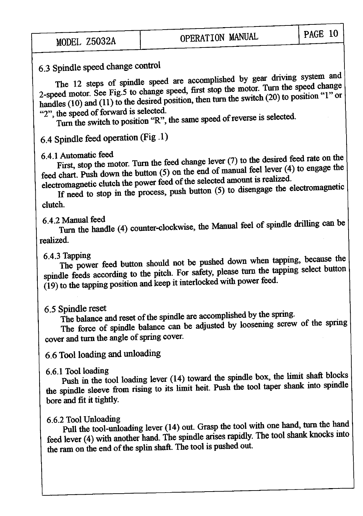6.3 Spindle speed change control<br>The 12 steps of spindle speed are accomplished by gear driving system and 2-speed motor. See Fig.5 to change speed, first stop the motor. Turn the speed change handles (10) and (11) to the desired position, then turn the switch (20) to position "1" or "2", the speed of forward is selected.

Turn the switch to position "R", the same speed of reverse is selected.

6.4 Spindle feed operation (Fig .1)

 $6.4.1$  Automatic feed<br>First, stop the motor. Turn the feed change lever (7) to the desired feed rate on the feed chart. Push down the button (5) on the end of manual feel lever (4) to engage the electromagnetic clutch the power feed of the selected amount is realized.

If need to stop in the process, push button (5) to disengage the electromagnetic clutch.

6.4.2 Manual feed<br>Turn the handle (4) counter-clockwise, the Manual feel of spindle drilling can be realized.

 $6.4.3$  Tapping<br>The power feed button should not be pushed down when tapping, because the spindle feeds according to the pitch. For safety, please turn the tapping select button (19) to the tapping position and keep it interlocked with power feed.

6.5 Spindle reset<br>The balance and reset of the spindle are accomplished by the spring.

The force of spindle balance can be adjusted by loosening screw of the spring cover and turn the angle of spring cover.

## 6.6 Tool loading and unloading

 $6.6.1$  Tool loading<br>Push in the tool loading lever (14) toward the spindle box, the limit shaft blocks the spindle sleeve from rising to its limit heit. Push the tool taper shank into spindle bore and fit it tightly.

## $6.6.2$  Tool Unloading  $\overline{a}$  is  $\overline{b}$  in  $\overline{c}$  in the largest spand

Pull the tool-unloading lever (14) out. Grasp the tool with one hand, turn the hand feed lever (4) with another hand. The spindle arises rapidly. The tool shank knocks mto the ram on the end of the splin shaft. The tool is pushed out.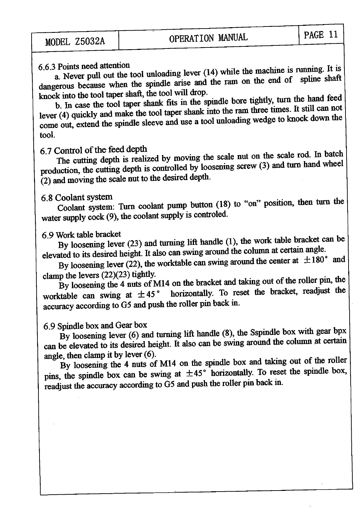6.6.3 Points need attention<br>
a. Never pull out the tool unloading lever  $(14)$  while the machine is running. It is<br>
dangerous because when the spindle arise and the ram on the end of spline shaft<br>
knock into the tool tape dangerous because when the spindle arise and the ram on the end of spline shaft

b. In case the tool taper shank fits in the spindle bore tightly, turn the hand feed lever  $(4)$  quickly and make the tool taper shank into the ram three times. It still can not come out, extend the spindle sleeve and use a tool unloading wedge to knock down the tool.

6.7 Control of the feed depth<br>The cutting depth is realized by moving the scale nut on the scale rod. In batch The cutting depth is realized by moving the scale nut on the scale room. The cutting depth is realized by moving the scale nut on the scale room. production, the cutting depth is controlled by loosening screw ( $\frac{3}{2}$ ) and the mass (2) and moving the scale nut to the desired depth.

6.8 Coolant system: Turn coolant pump button (18) to "on" position, then turn the Coolant system: Turn coolant pump button (18) to "on" position, then turn the water supply cock (9), the coolant supply is controled.

6.9 Work table bracket  $(1)$  the work table bracket can b By loosening lever  $(23)$  and turning lift handle  $(1)$ , the work table bracket can be elevated to its desired height. It also can swing around the column at certain angle.<br>By loosening lever (22), the worktable can swing around the center at  $\pm 180^\circ$  and

clamp the levers  $(22)(23)$  tightly.

By loosening the 4 nuts of M14 on the bracket and taking out of the following the  $\vert$ worktable can swing at  $\pm 45^{\circ}$  horizontally. To reset the bracket, readjust the accuracy according to G5 and push the roller pin back in.

## 6 9 Spindle box and Gear box

By loosening lever (6) and turning lift handle (8), the Sspindle box with gear bpx can be elevated to its desired height. It also can be swing around the column at certain angle, then clamp it by lever  $(6)$ . angle, then clamp it by lever  $(0)$ .

By loosening the 4 nuts of M14 on the spindle box and taking out of the roler  $\vert$ pins, the spindle box can be swing at  $\pm 45^{\circ}$  horizontally. To reset the spindle box, readjust the accuracy according to G5 and push the roller pin back in.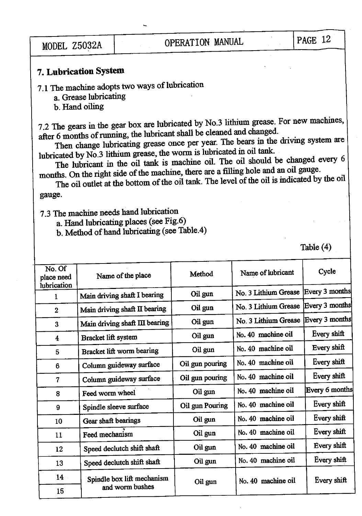## 7. Lubrication System

7.1 The machine adopts two ways of lubrication

a. Grease lubricating

b. Hand oiling

7.2 The gears in the gear box are lubricated by No.3 lithium grease. For new machines, after 6 months of running, the lubricant shall be cleaned md changed.

Then change lubricating grease once per year. The bears in the driving system are lubricated by No.3 lithium grease, the worm is lubricated in oil tank.

The lubricant in the oil tank is machine oil. The oil should be changed every 6 months. On the right side of the machine, there are a filling hole and an oil gauge.

The oil outlet at the bottom of the oil tank. The level of the oil is mdicated by the oil gauge.

7.3 The machine needs hand lubrication

a. Hand lubricating places (see Fig.6)

b. Method of hand lubricating (see Table.4)

Table (4)

| No. Of<br>place need<br>lubrication | Name of the place              | Method          | Name of lubricant    | Cycle          |
|-------------------------------------|--------------------------------|-----------------|----------------------|----------------|
| $\mathbf{1}$                        | Main driving shaft I bearing   | Oil gun         | No. 3 Lithium Grease | Every 3 months |
| $\overline{2}$                      | Main driving shaft II bearing  | Oil gun         | No. 3 Lithium Grease | Every 3 months |
| 3                                   | Main driving shaft III bearing | Oil gun         | No. 3 Lithium Grease | Every 3 months |
| $\overline{\mathbf{4}}$             | Bracket lift system            | Oil gun         | No. 40 machine oil   | Every shift    |
| 5                                   | Bracket lift worm bearing      | Oil gun         | No. 40 machine oil   | Every shift    |
| 6                                   | Column guideway surface        | Oil gun pouring | No. 40 machine oil   | Every shift    |
| $\overline{7}$                      | Column guideway surface        | Oil gun pouring | No. 40 machine oil   | Every shift    |
| 8                                   | Feed worm wheel                | Oil gun         | No. 40 machine oil   | Every 6 months |
| 9                                   | Spindle sleeve surface         | Oil gun Pouring | No. 40 machine oil   | Every shift    |
| 10                                  | Gear shaft bearings            | Oil gun         | No. 40 machine oil   | Every shift    |
| 11                                  | Feed mechanism                 | Oil gun         | No. 40 machine oil   | Every shift    |
| 12                                  | Speed declutch shift shaft     | Oil gun         | No. 40 machine oil   | Every shift    |
| 13                                  | Speed declutch shift shaft     | Oil gun         | No. 40 machine oil   | Every shift    |
| $14 -$                              | Spindle box lift mechanism     |                 |                      |                |
| 15                                  | and worm bushes                | Oil gun         | No. 40 machine oil   | Every shift    |
|                                     |                                |                 |                      |                |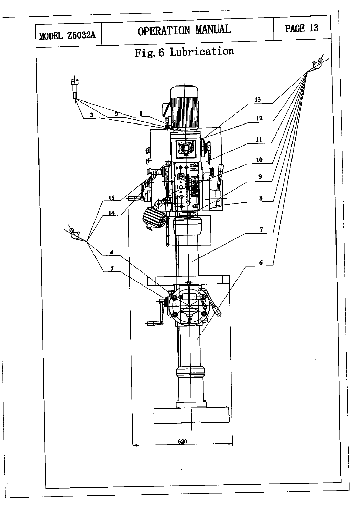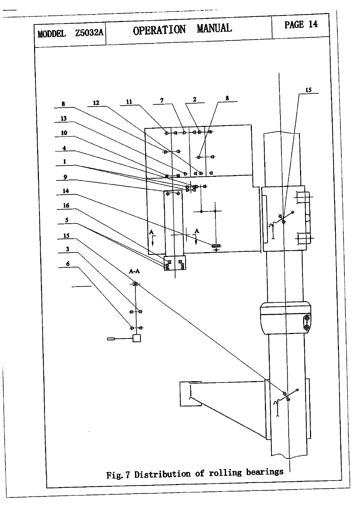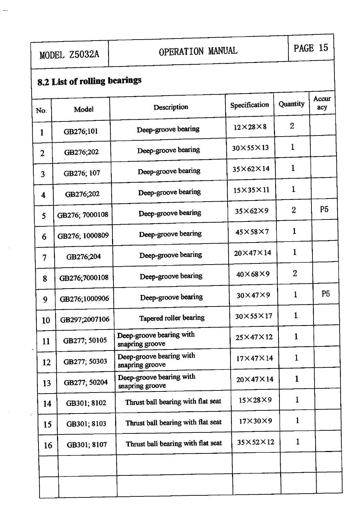# NODEL Z5032A OPERATION MANUAL PAGE 15

## 8.2 List of rolling bearings

| No.                     | Model          | Description                                 | Specification        | <b>Quantity</b> | Accur<br>acy   |
|-------------------------|----------------|---------------------------------------------|----------------------|-----------------|----------------|
| 1                       | GB276;101      | Deep-groove bearing                         | $12\times28\times8$  | $\overline{2}$  |                |
| $\overline{2}$          | GB276;202      | Deep-groove bearing                         | 30×55×13             | $\mathbf{1}$    |                |
| $\overline{\mathbf{3}}$ | GB276; 107     | Deep-groove bearing                         | $35\times62\times14$ | $\mathbf{1}$    |                |
| $\overline{\mathbf{4}}$ | GB276;202      | Deep-groove bearing                         | $15\times35\times11$ | $\mathbf{1}$    |                |
| 5                       | GB276; 7000108 | Deep-groove bearing                         | $35\times62\times9$  | $\overline{2}$  | P <sub>5</sub> |
| 6                       | GB276; 1000809 | Deep-groove bearing                         | $45\times58\times7$  | $\mathbf{1}$    |                |
| $\overline{7}$          | GB276;204      | Deep-groove bearing                         | $20\times47\times14$ | $\mathbf{1}$    |                |
| 8                       | GB276;7000108  | Deep-groove bearing                         | $40\times68\times9$  | $\overline{2}$  |                |
| 9                       | GB276;1000906  | Deep-groove bearing                         | $30\times47\times9$  | $\mathbf 1$     | P <sub>5</sub> |
| 10                      | GB297;2007106  | Tapered roller bearing                      | 30×55×17             | $\mathbf{1}$    |                |
| 11                      | GB277; 50105   | Deep-groove bearing with<br>snapring groove | $25\times47\times12$ | $\mathbf{1}$    |                |
| 12                      | GB277; 50303   | Deep-groove bearing with<br>snapring groove | $17\times47\times14$ | $\mathbf 1$     |                |
| 13 <sup>°</sup>         | GB277; 50204   | Deep-groove bearing with<br>snapring groove | $20\times47\times14$ | 1               |                |
| 14                      | GB301; 8102    | Thrust ball bearing with flat seat          | $15\times28\times9$  | $\mathbf{1}$    |                |
| 15 <sup>15</sup>        | GB301; 8103    | Thrust ball bearing with flat seat          | $17\times30\times9$  | $\mathbf 1$     |                |
| 16                      | GB301; 8107    | Thrust ball bearing with flat seat          | $35\times52\times12$ | $\mathbf{1}$    |                |
|                         |                |                                             |                      |                 |                |
|                         |                |                                             |                      |                 |                |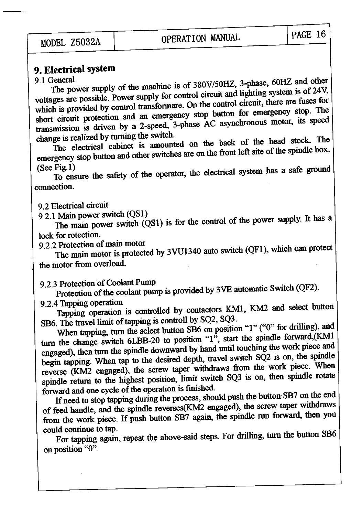# 9. Electrical system<br>9.1 General

The power supply of the machine is of 380V/50HZ, 3-phase, 60HZ and other voltages are possible. Power supply for control circuit and lighting system is of 24V, which is provided by control transformare. On the control circ short circuit protection and an emergency stop button for emergency stop. The transmission is driven by a 2-speed, 3-phase AC asynchronous motor, its speed change is realized by turning the switch.

change is realized by turning the switch. The electrical cabinet is amounted on the back  $\sigma$  =  $\sigma$  of the spindle box. emergency stop button and other switches are on the front left site of the spindle box.<br>(See Fig.1)

To ensure the safety of the operator, the electrical system has a safe ground connection.

9.2 Electrical circuit<br>9.2.1 Main power switch (QS1)

The main power switch  $(QS1)$  is for the control of the power supply. It has a

lock for rotection.<br>9.2.2 Protection of main motor

The main motor is protected by 3VU1340 auto switch (QF1), which can protect the motor from overload.

9.2.3 Protection of Coolant Pump<br>Protection of the coolant pump is provided by 3VE automatic Switch (QF2).<br>9.2.4 Tapping operation<br>Tapping operation is controlled by contactors KM1, KM2 and select button

SB6. The travel limit of tapping is controll by SQ2, SQ3. When tapping, turn the select button SB6 on position "1" ("0" for drilling), and turn the change switch 6LBB-20 to position "1", start the spindle forward, (KM1) engaged), then turn the spindle downward by hand until touching the work piece and<br>begin tapping. When tap to the desired depth, travel switch SQ2 is on, the spindle reverse (KM2 engaged), the screw taper withdraws from the work piece. When spindle return to the highest position, limit switch SQ3 is on, then spindle rotate forward and one cycle of the operation is finished.

If need to stop tapping during the process, should push the button SB7 on the end of feed handle, and the spindle reverses(KM2 engaged), the screw taper withdraws from the work piece. If push button SB7 again, the spindle run forward, then you could continue to tap.  $\frac{1}{2}$  could continue to tap.

For tapping again, repeat the above-said steps. For drilling, turn the button SBG on position "0".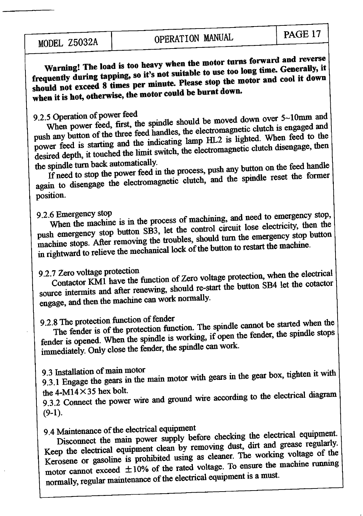Warning! The load is too heavy when the motor turns forward and reverse<br>Warning! The load is too heavy when the motor turns forward and reverse frequently during tapping, so it's not suitable to use too long time. Generally, it<br>should not exceed 8 times per minute. Please stop the motor and cool it down when it is hot, otherwise, the motor could be burnt down.

## 9.2.5 Operation of power feed

When power feed, first, the spindle should be moved down over  $5{\sim}10$ mm and push any button of the three feed handles, the electromagnetic clutch is engaged and power feed is starting and the indicating lamp HL2 is light desired depth, it touched the limit switch, the electromagnetic clutch disengage, then<br>the spindle turn back automatically.

If need to stop the power feed in the process, push any button on the feed handle again to disengage the electromagnetic clutch, and the spindle reset the former position.

9.2.6 Emergency stop<br>When the machine is in the process of machining, and need to emergency stop, push emergency stop button SB3, let the control circuit lose electricity, then the machine stops. After removing the troubles, should turn the emergency stop button in rightward to relieve the mechanical lock of the button to restart the machine.

9.2.7 Zero voltage protection<br>Contactor KM1 have the function of Zero voltage protection, when the electrical source intermits and after renewing, should re-start the button SB4 let the cotactor engage, and then the machine can work normally.

## 9.2.8 The protection function of fender

The fender is of the protection function. The spindle cannot be started when the fender is opened. When the spindle is working, if open the fender, the spindle stops immediately. Only close the fender, the spindle can work.

9.3 Installation of main motor<br>9.3.1 Engage the gears in the main motor with gears in the gear box, tighten it with the  $4-M14 \times 35$  hex bolt.

9.3.2 Connect the power wire and ground wire according to the electrical diagram  $(9-1).$ 

9.4 Maintenance of the electrical equipment

Maintenance of the electrical equipment.<br>Disconnect the main power supply before checking the electrical equipment. Disconnect the main power supply before checking the cleared equipment<br>Keep the electrical equipment clean by removing dust, dirt and grease regularly. Kerosene or gasoline is prohibited using as cleaner. The working voltage of the motor cannot exceed  $\pm 10\%$  of the rated voltage. To ensure the machine running normally, regular maintenance of the electrical equipment is a must.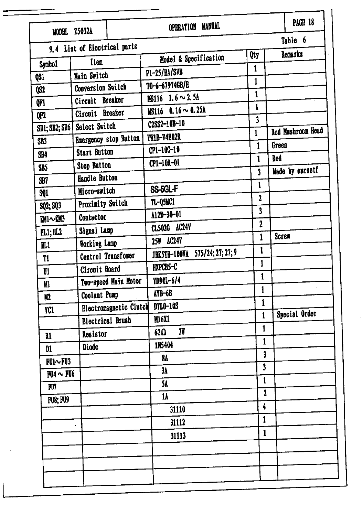| <b>MODEL Z5032A</b> |                              |                               | <b>MANUAL</b><br><b>OPERATION</b>        |                         |              | PAGE 18           |
|---------------------|------------------------------|-------------------------------|------------------------------------------|-------------------------|--------------|-------------------|
|                     | 9.4 List of Electrical parts |                               |                                          |                         |              | Table 6           |
| Symbo1              | Item                         |                               | Model & Specification                    | Qty                     |              | Remarks           |
| QS1                 | Main Switch                  |                               | P1-25/BA/SVB                             | $\mathbf{1}$            |              |                   |
| QS <sub>2</sub>     | Conversion Switch            |                               | TO-6-67974GB/E                           | $\mathbf{1}$            |              |                   |
| QF1                 | Circuit Breaker              |                               | MS116 $1.6 \sim 2.5$ A                   | 1                       |              |                   |
| QF2                 | Circuit Breaker              |                               | MS116 $0.16 \sim 0.25$ A                 | 1                       |              |                   |
| SB1; SB2; SB6       | Select Switch                |                               | C2SS2-10B-10                             | $\overline{\mathbf{3}}$ |              | Red Mushroom Head |
| SB <sub>3</sub>     |                              | <b>Emergency stop Button</b>  | YW1B-V4E02R                              | $\mathbf{1}$            |              |                   |
| SB4                 | Start Button                 |                               | $CP1 - 10G - 10$                         | $\mathbf{1}$            | Green        |                   |
| SB5                 | <b>Stop Button</b>           |                               | CP1-10R-01                               | $\mathbf{1}$            | <b>Red</b>   |                   |
| SB7                 | Handle Button                |                               |                                          | 3                       |              | Made by oursetf   |
| <b>SQ1</b>          | Micro-switch                 |                               | SS-5GL-F                                 | 1                       |              |                   |
| SQ2; SQ3            | Proximity Switch             |                               | TL-Q5MC1                                 | $\mathbf 2$             |              |                   |
| $M1 \sim M3$        | Contactor                    |                               | $\Lambda$ 12D-30-01                      | $\overline{\mathbf{3}}$ |              |                   |
| FL1; HL2            | Signal Lamp                  |                               | CL502G AC24V                             | 2                       |              |                   |
| RL1                 | Working Lamp                 |                               | 25W AC24V                                | 1                       | <b>Screw</b> |                   |
| T1                  | Control Transfomer           |                               | 575/24; 27; 27; 9<br><b>JBK5TH-100VA</b> | 1                       |              |                   |
| U1                  | Circuit Board                |                               | HXPCB5-C                                 | $\mathbf{1}$            |              |                   |
| <b>M1</b>           |                              | Two-speed Main Motor          | YD90L-6/4                                | $\mathbf{1}$            |              |                   |
| <b>M2</b>           | Coolant Pump                 |                               | AYB-6B                                   | $\mathbf{1}$            |              |                   |
| TC1                 |                              | <b>Electronagnetic Clutch</b> | <b>DYLO-10S</b>                          | 1                       |              |                   |
|                     | <b>Electrical Brush</b>      |                               | <b>M16X1</b>                             | $\mathbf{1}$            |              | Special Order     |
| $\mathbf{N}$        | Resistor                     |                               | 2 <sub>1</sub><br>62Ω                    | $\mathbf{1}$            |              |                   |
| $\mathbf{D1}$       | <b>Diode</b>                 |                               | 1N5404                                   | $\mathbf{1}$            |              |                   |
| $FU1 \sim FU3$      |                              |                               | 84                                       | 3                       |              |                   |
| $FU4 \sim FU6$      |                              |                               | 3 <sub>h</sub>                           | $\overline{\mathbf{3}}$ |              |                   |
| FU7                 |                              |                               | <b>5A</b>                                | $\mathbf{1}$            |              |                   |
| <b>FU8; FU9</b>     |                              |                               | $\mathbf{1}$                             | $\mathbf 2$             |              |                   |
|                     |                              |                               | 31110                                    | 4                       |              |                   |
|                     |                              |                               | 31112                                    | 1                       |              |                   |
|                     |                              |                               | 31113                                    | $\mathbf{1}$            |              |                   |
|                     |                              |                               |                                          |                         |              |                   |
|                     |                              |                               |                                          |                         |              |                   |
|                     |                              |                               |                                          |                         |              |                   |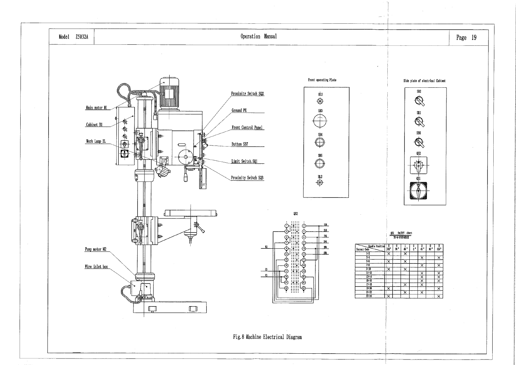

## Page 19

### Side plate of electrical Cabinet

 $\hat{B}$ 



## $\frac{0.052}{0.06-0.079740BIE}$

| b | $\frac{0}{90}$ | $\frac{1}{46}$ .        | $\frac{0}{0}$ | $\frac{2}{45}$          | $\substack{0 \90}$ ° | $\frac{\overline{R}}{135}$ |
|---|----------------|-------------------------|---------------|-------------------------|----------------------|----------------------------|
|   |                | $\overline{\mathsf{x}}$ |               |                         |                      |                            |
|   |                |                         |               | $\overline{\mathsf{x}}$ |                      | $\overline{\mathsf{x}}$    |
|   |                | $\overline{\mathsf{x}}$ |               |                         |                      |                            |
|   |                |                         |               | $\overline{\mathsf{x}}$ |                      | ᅑ                          |
|   |                | $\overline{\mathsf{x}}$ |               |                         |                      |                            |
|   |                |                         |               |                         |                      | x                          |
|   |                |                         |               |                         |                      |                            |
|   |                |                         |               | x x                     |                      |                            |
|   |                | $\overline{\mathsf{x}}$ |               |                         |                      |                            |
|   |                |                         |               |                         |                      | ᅑ                          |
|   |                | $\overline{\mathsf{x}}$ |               | $\overline{\mathsf{x}}$ |                      |                            |
|   |                |                         |               |                         |                      | ×                          |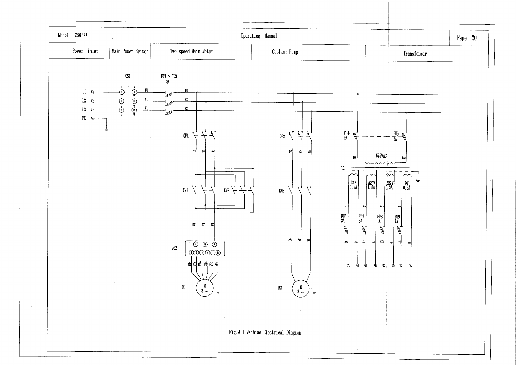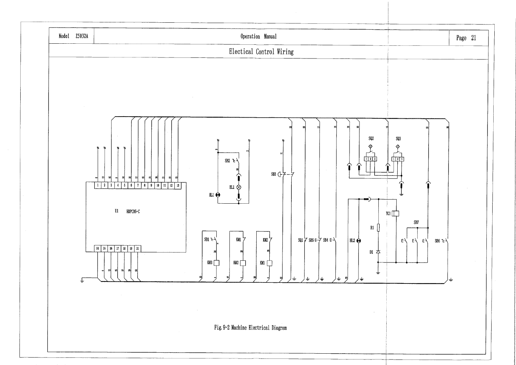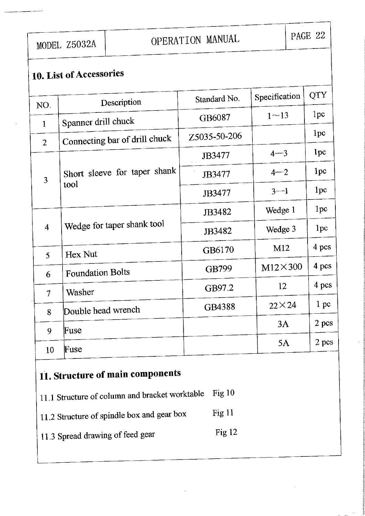MODEL Z5032A

## OPERATION MANUAL

## 10. List of Accessories

| NO.            | Description                   | Standard No. | Specification  | <b>QTY</b>      |
|----------------|-------------------------------|--------------|----------------|-----------------|
| $\mathbf{1}$   | Spanner drill chuck           | GB6087       | $1 - 13$       | 1pc             |
| $\overline{2}$ | Connecting bar of drill chuck | Z5035-50-206 |                | 1pc             |
|                |                               | JB3477       | $4 - 3$        | 1pc             |
|                | Short sleeve for taper shank  | JB3477       | $4 - 2$        | 1 <sub>pc</sub> |
| 3              | tool                          | JB3477       | $3 - 1$        | 1 <sub>pc</sub> |
|                |                               | JB3482       | Wedge 1        | 1pc             |
| $\overline{4}$ | Wedge for taper shank tool    | JB3482       | Wedge 3        | 1pc             |
| 5              | Hex Nut                       | GB6170       | M12            | 4 pcs           |
| 6              | <b>Foundation Bolts</b>       | GB799        | $M12\times300$ | 4 pcs           |
| 7              | Washer                        | GB97.2       | 12             | 4 pcs           |
|                | Double head wrench            | GB4388       | $22\times24$   | 1 pc            |
| 8              |                               |              | 3A             | 2 pcs           |
| 9              | Fuse                          |              | 5A             | 2 pcs           |
| 10             | Fuse                          |              |                |                 |

## 11. Structure of main components

- 11.1 Structure of column and bracket worktable Fig 10
- Fig 11 11.2 Structure of spindle box and gear box
- Fig 12 11.3 Spread drawing of feed gear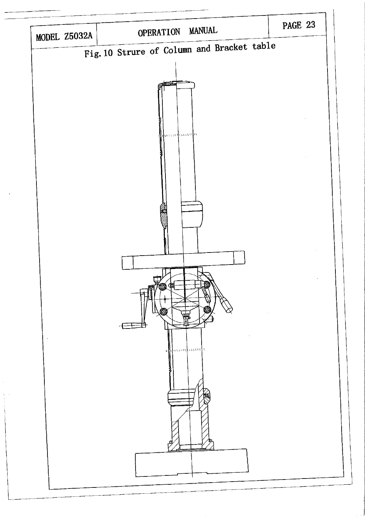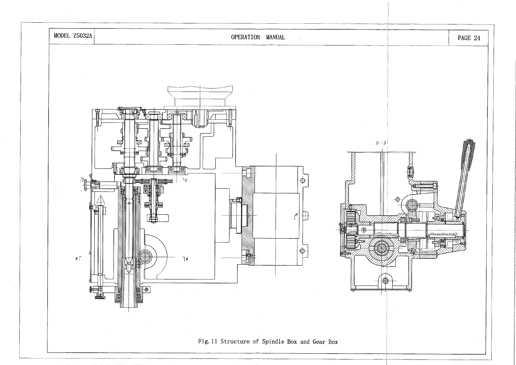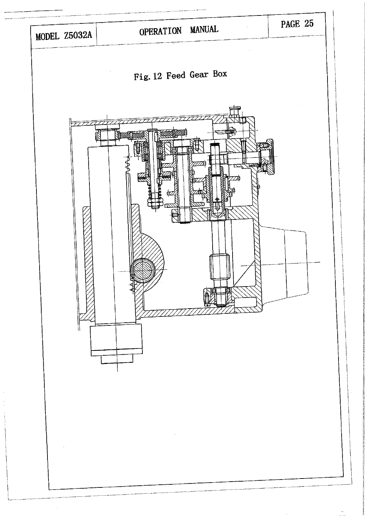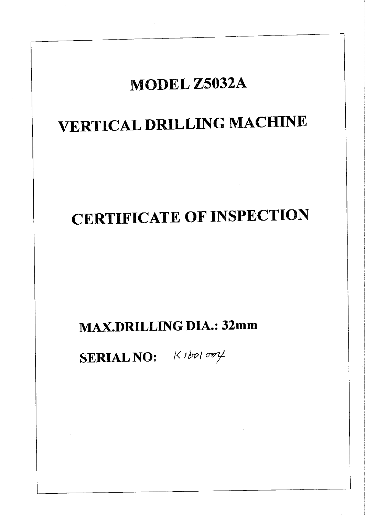# MODEL Z5032A **VERTICAL DRILLING MACHINE CERTIFICATE OF INSPECTION MAX.DRILLING DIA.: 32mm SERIAL NO:**  $K1b$ 01004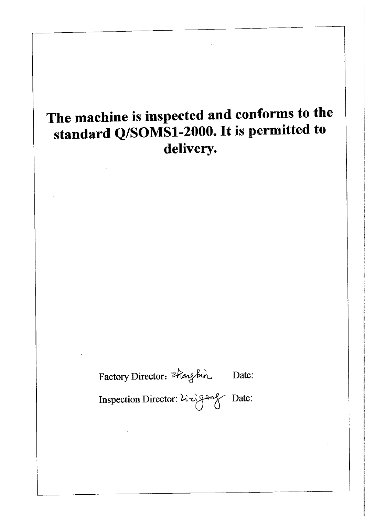## The machine is inspected and conforms to the standard Q/SOMS1-2000. It is permitted to delivery.

Factory Director: thangbin Date: Date: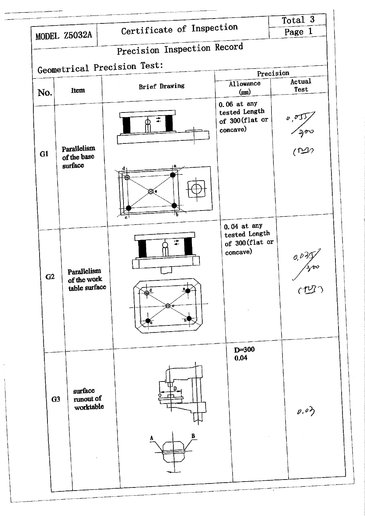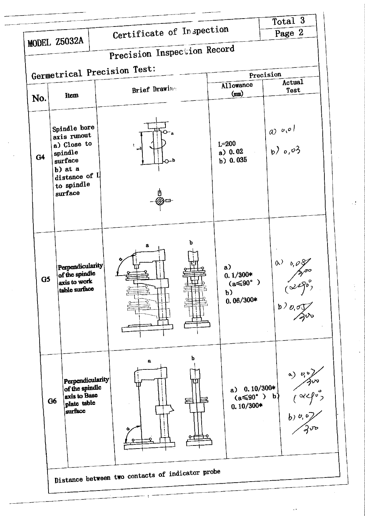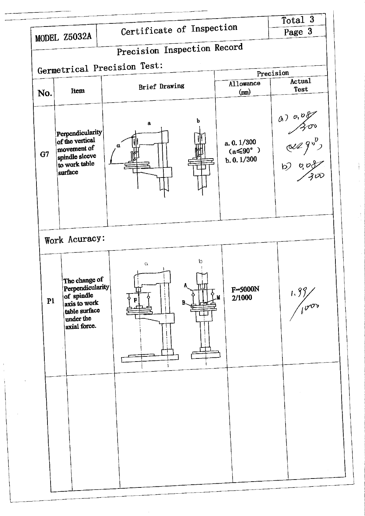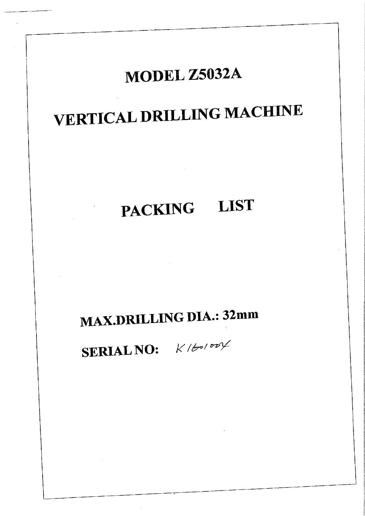## MODEL Z5032A

# **VERTICAL DRILLING MACHINE**

# PACKING LIST

**MAX.DRILLING DIA.: 32mm** 

SERIAL NO:  $K/b^{\sigma/\sigma\sigma\gamma}$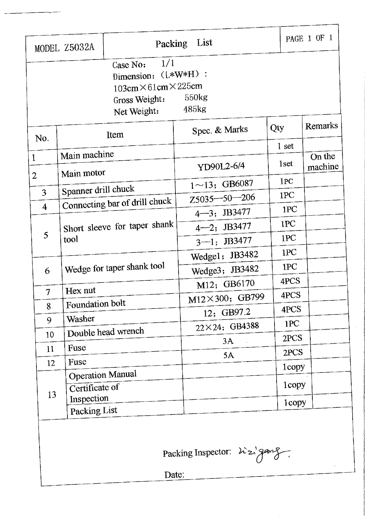|                                |                                           | 1/1<br>Case No:<br>Dimension: (L*W*H) :<br>$103cm \times 61cm \times 225cm$<br>Gross Weight:<br>Net Weight: | 550kg<br>485kg             |                  |                   |
|--------------------------------|-------------------------------------------|-------------------------------------------------------------------------------------------------------------|----------------------------|------------------|-------------------|
| No.                            |                                           | Item                                                                                                        | Spec. & Marks              | Qty              | Remarks           |
|                                |                                           |                                                                                                             |                            | 1 <sub>set</sub> |                   |
| $\mathbf{1}$<br>$\overline{2}$ | Main machine<br>Main motor                |                                                                                                             | YD90L2-6/4                 | 1set             | On the<br>machine |
|                                |                                           |                                                                                                             | $1 \sim 13$ ; GB6087       | 1PC              |                   |
| 3                              | Spanner drill chuck                       |                                                                                                             | $Z5035 - 50 - 206$         | 1PC              |                   |
| $\overline{4}$                 |                                           | Connecting bar of drill chuck                                                                               | 4-3; JB3477                | 1PC              |                   |
|                                | Short sleeve for taper shank<br>tool      |                                                                                                             | 4-2; JB3477                | 1PC              |                   |
| 5                              |                                           |                                                                                                             | $3 - 1$ ; JB3477           | 1PC              |                   |
|                                |                                           |                                                                                                             | Wedgel; JB3482             | 1PC              |                   |
| 6                              |                                           | Wedge for taper shank tool                                                                                  | Wedge3; JB3482             | 1PC              |                   |
|                                |                                           |                                                                                                             | M12; GB6170                | 4PCS             |                   |
| $\overline{7}$                 | Hex nut                                   |                                                                                                             | M12×300; GB799             | 4PCS             |                   |
| 8                              | Foundation bolt                           |                                                                                                             | 12; GB97.2                 | 4PCS             |                   |
| 9                              | Washer                                    |                                                                                                             | 22×24; GB4388              | 1PC              |                   |
| 10                             |                                           | Double head wrench                                                                                          | 3A                         | 2PCS             |                   |
| 11                             | Fuse                                      |                                                                                                             | 5A                         | 2PCS             |                   |
| 12                             | Fuse                                      |                                                                                                             |                            | $1$ copy         |                   |
| 13                             | <b>Operation Manual</b><br>Certificate of |                                                                                                             |                            | 1copy            |                   |
|                                | Inspection<br>Packing List                |                                                                                                             |                            | 1copy            |                   |
|                                |                                           | Date:                                                                                                       | Packing Inspector: 22/ganz |                  |                   |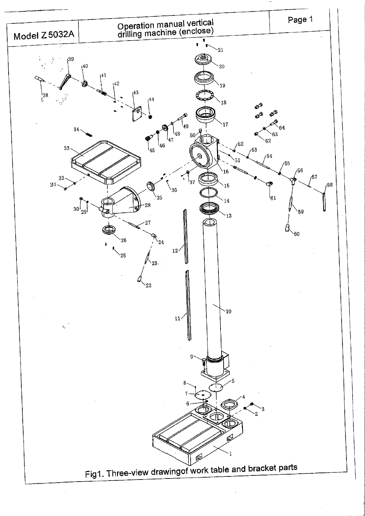